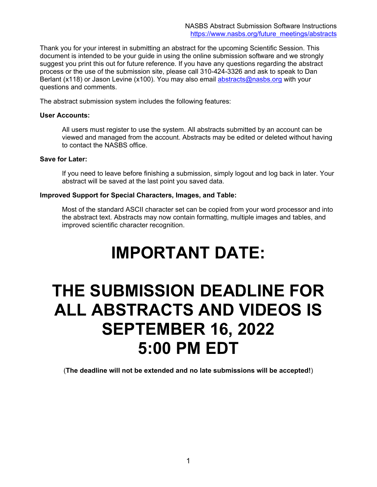Thank you for your interest in submitting an abstract for the upcoming Scientific Session. This document is intended to be your guide in using the online submission software and we strongly suggest you print this out for future reference. If you have any questions regarding the abstract process or the use of the submission site, please call 310-424-3326 and ask to speak to Dan Berlant (x118) or Jason Levine (x100). You may also email [abstracts@nasbs.org](mailto:abstracts@nasbs.org) with your questions and comments.

The abstract submission system includes the following features:

### **User Accounts:**

All users must register to use the system. All abstracts submitted by an account can be viewed and managed from the account. Abstracts may be edited or deleted without having to contact the NASBS office.

### **Save for Later:**

If you need to leave before finishing a submission, simply logout and log back in later. Your abstract will be saved at the last point you saved data.

### **Improved Support for Special Characters, Images, and Table:**

Most of the standard ASCII character set can be copied from your word processor and into the abstract text. Abstracts may now contain formatting, multiple images and tables, and improved scientific character recognition.

# **IMPORTANT DATE:**

# **THE SUBMISSION DEADLINE FOR ALL ABSTRACTS AND VIDEOS IS SEPTEMBER 16, 2022 5:00 PM EDT**

(**The deadline will not be extended and no late submissions will be accepted!**)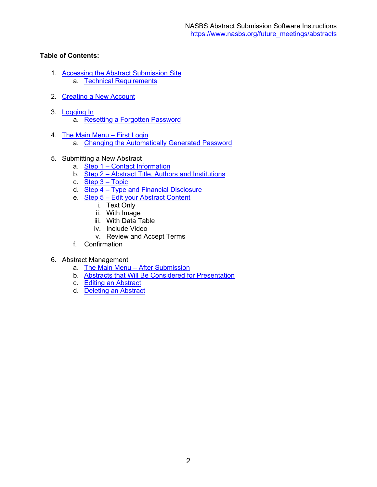## **Table of Contents:**

- 1. [Accessing the Abstract Submission Site](#page-2-0) a. [Technical Requirements](#page-2-1)
- 2. [Creating a New Account](#page-4-0)
- 3. [Logging In](#page-5-0) a. [Resetting a Forgotten Password](#page-5-1)
- 4. [The Main Menu First Login](#page-7-0)
	- a. [Changing the Automatically Generated Password](#page-8-0)
- 5. Submitting a New Abstract
	- a. [Step 1 Contact Information](#page-9-0)
	- b. [Step 2 Abstract Title, Authors and Institutions](#page-10-0)
	- c. [Step 3 Topic](#page-14-0)
	- d. Step 4 Type and Financial Disclosure
	- e. Step 5 Edit your Abstract Content
		- i. Text Only
		- ii. With Image
		- iii. With Data Table
		- iv. Include Video
		- v. Review and Accept Terms
	- f. Confirmation

### 6. Abstract Management

- a. [The Main Menu After Submission](#page-33-0)
- b. [Abstracts that Will Be Considered for Presentation](#page-34-0)
- c. [Editing an Abstract](#page-35-0)
- d. [Deleting an Abstract](#page-36-0)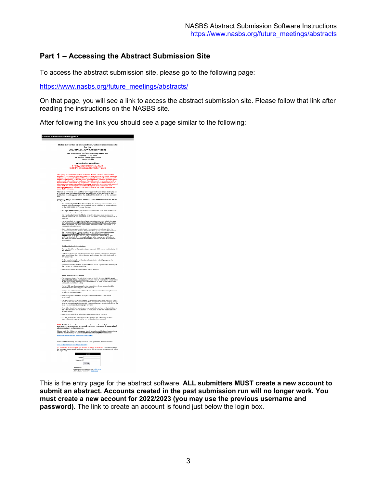# <span id="page-2-0"></span>**Part 1 – Accessing the Abstract Submission Site**

To access the abstract submission site, please go to the following page:

[https://www.nasbs.org/future\\_meetings/abstracts/](https://www.nasbs.org/future_meetings/abstracts/)

On that page, you will see a link to access the abstract submission site. Please follow that link after reading the instructions on the NASBS site.

After following the link you should see a page similar to the following:



<span id="page-2-1"></span>This is the entry page for the abstract software. **ALL submitters MUST create a new account to submit an abstract. Accounts created in the past submission run will no longer work. You must create a new account for 2022/2023 (you may use the previous username and password).** The link to create an account is found just below the login box.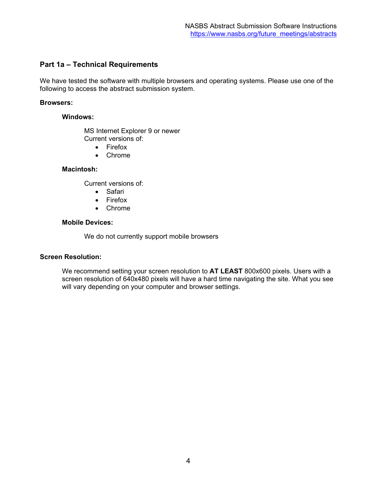### **Part 1a – Technical Requirements**

We have tested the software with multiple browsers and operating systems. Please use one of the following to access the abstract submission system.

#### **Browsers:**

#### **Windows:**

MS Internet Explorer 9 or newer Current versions of:

- Firefox
- Chrome

### **Macintosh:**

Current versions of:

- Safari
- Firefox
- Chrome

### **Mobile Devices:**

We do not currently support mobile browsers

### **Screen Resolution:**

We recommend setting your screen resolution to **AT LEAST** 800x600 pixels. Users with a screen resolution of 640x480 pixels will have a hard time navigating the site. What you see will vary depending on your computer and browser settings.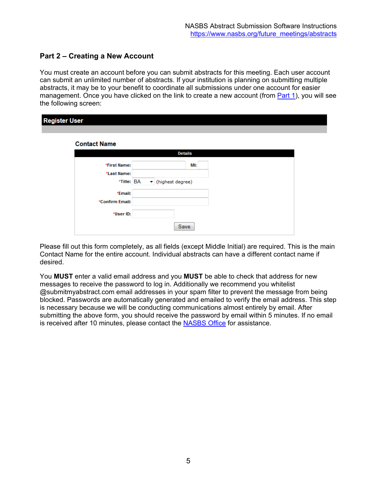# <span id="page-4-0"></span>**Part 2 – Creating a New Account**

You must create an account before you can submit abstracts for this meeting. Each user account can submit an unlimited number of abstracts. If your institution is planning on submitting multiple abstracts, it may be to your benefit to coordinate all submissions under one account for easier management. Once you have clicked on the link to create a new account (from [Part 1\)](#page-2-0), you will see the following screen:

| <b>Register User</b> |                    |  |
|----------------------|--------------------|--|
| <b>Contact Name</b>  |                    |  |
|                      | <b>Details</b>     |  |
| *First Name:         | MI:                |  |
| *Last Name:          |                    |  |
| *Title: BA           | • (highest degree) |  |
| *Email:              |                    |  |
| *Confirm Email:      |                    |  |
| *User ID:            |                    |  |
|                      | Save               |  |

Please fill out this form completely, as all fields (except Middle Initial) are required. This is the main Contact Name for the entire account. Individual abstracts can have a different contact name if desired.

You **MUST** enter a valid email address and you **MUST** be able to check that address for new messages to receive the password to log in. Additionally we recommend you whitelist @submitmyabstract.com email addresses in your spam filter to prevent the message from being blocked. Passwords are automatically generated and emailed to verify the email address. This step is necessary because we will be conducting communications almost entirely by email. After submitting the above form, you should receive the password by email within 5 minutes. If no email is received after 10 minutes, please contact the [NASBS Office](mailto:abstracts@nasbs.org?subject=Having%20login%20trouble%20with%20abstract%20system) for assistance.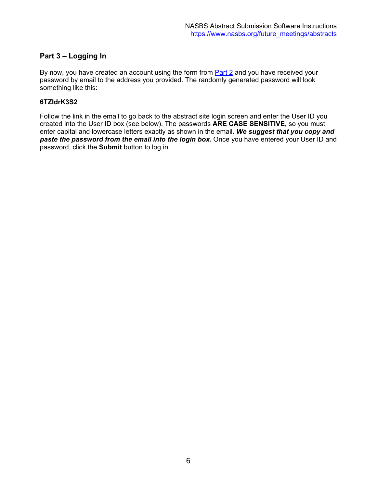# <span id="page-5-0"></span>**Part 3 – Logging In**

By now, you have created an account using the form from [Part 2](#page-4-0) and you have received your password by email to the address you provided. The randomly generated password will look something like this:

### **6TZIdrK3S2**

<span id="page-5-1"></span>Follow the link in the email to go back to the abstract site login screen and enter the User ID you created into the User ID box (see below). The passwords **ARE CASE SENSITIVE**, so you must enter capital and lowercase letters exactly as shown in the email. *We suggest that you copy and paste the password from the email into the login box.* Once you have entered your User ID and password, click the **Submit** button to log in.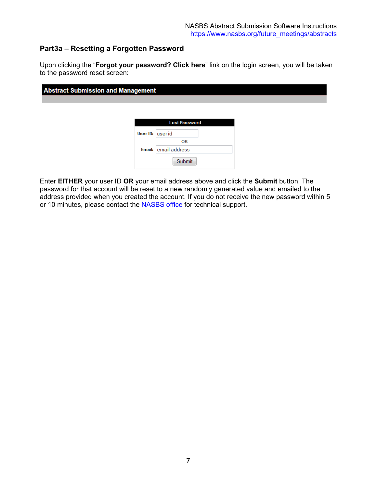# **Part3a – Resetting a Forgotten Password**

Upon clicking the "**Forgot your password? Click here**" link on the login screen, you will be taken to the password reset screen:

| <b>Abstract Submission and Management</b> |                             |  |
|-------------------------------------------|-----------------------------|--|
|                                           | <b>Lost Password</b>        |  |
|                                           | User ID: user id            |  |
|                                           | OR.<br>Email: email address |  |
|                                           | Submit                      |  |

Enter **EITHER** your user ID **OR** your email address above and click the **Submit** button. The password for that account will be reset to a new randomly generated value and emailed to the address provided when you created the account. If you do not receive the new password within 5 or 10 minutes, please contact the **NASBS office** for technical support.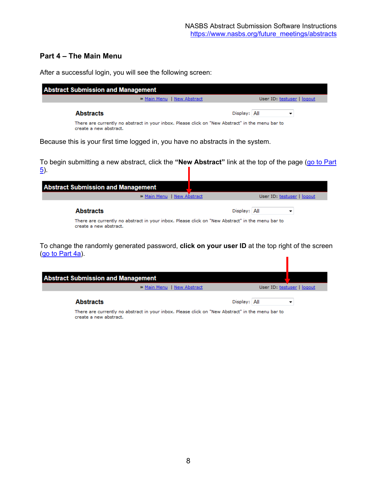### <span id="page-7-0"></span>**Part 4 – The Main Menu**

After a successful login, you will see the following screen:

**Abstract Submission and Management** » Main Menu | New Abstract User ID: testuser | loqout **Abstracts** Display: All  $\overline{\mathbf{v}}$ There are currently no abstract in your inbox. Please click on "New Abstract" in the menu bar to create a new abstract. Because this is your first time logged in, you have no abstracts in the system.

To begin submitting a new abstract, click the **"New Abstract"** link at the top of the page [\(go to Part](#page-9-0)  [5\)](#page-9-0).

| <b>Abstract Submission and Management</b>                                                                                  |                            |
|----------------------------------------------------------------------------------------------------------------------------|----------------------------|
| >> Main Menu   New Abstract                                                                                                | User ID: testuser   logout |
| <b>Abstracts</b>                                                                                                           | Display: All               |
| There are currently no abstract in your inbox. Please click on "New Abstract" in the menu bar to<br>create a new abstract. |                            |

To change the randomly generated password, **click on your user ID** at the top right of the screen [\(go to Part 4a\)](#page-8-0). П

| <b>Abstract Submission and Management</b> |                                                                   |
|-------------------------------------------|-------------------------------------------------------------------|
| >> Main Menu   New Abstract               | User ID: testuser   logout                                        |
| <b>Abstracts</b>                          | Display: All<br>국민 그 아니 나는 아침 그는 어디 들어 보니 바람 유민이 어디에 나가 나는 것이 없다. |

There are currently no abstract in your inbox. Please click on "New Abstract" in the menu bar to create a new abstract.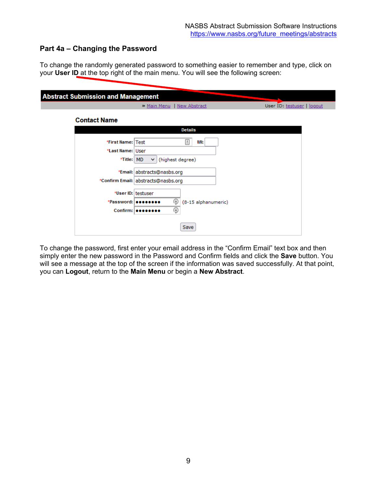# <span id="page-8-0"></span>**Part 4a – Changing the Password**

To change the randomly generated password to something easier to remember and type, click on your **User ID** at the top right of the main menu. You will see the following screen:

To change the password, first enter your email address in the "Confirm Email" text box and then simply enter the new password in the Password and Confirm fields and click the **Save** button. You will see a message at the top of the screen if the information was saved successfully. At that point, you can **Logout**, return to the **Main Menu** or begin a **New Abstract**.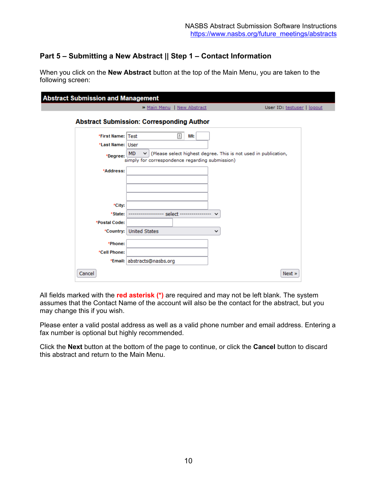# <span id="page-9-0"></span>**Part 5 – Submitting a New Abstract || Step 1 – Contact Information**

When you click on the **New Abstract** button at the top of the Main Menu, you are taken to the following screen:

|                   | » Main Menu   New Abstract                                                                                                                      | User ID: testuser   logout |
|-------------------|-------------------------------------------------------------------------------------------------------------------------------------------------|----------------------------|
|                   | <b>Abstract Submission: Corresponding Author</b>                                                                                                |                            |
| *First Name: Test | Ŧ<br>MI:                                                                                                                                        |                            |
| *Last Name: User  |                                                                                                                                                 |                            |
| *Degree:          | (Please select highest degree. This is not used in publication,<br><b>MD</b><br>$\checkmark$<br>simply for correspondence regarding submission) |                            |
| *Address:         |                                                                                                                                                 |                            |
|                   |                                                                                                                                                 |                            |
|                   |                                                                                                                                                 |                            |
|                   |                                                                                                                                                 |                            |
| *City:<br>*State: | -- select -<br>$\checkmark$                                                                                                                     |                            |
| *Postal Code:     |                                                                                                                                                 |                            |
| *Country:         | <b>United States</b><br>$\checkmark$                                                                                                            |                            |
| *Phone:           |                                                                                                                                                 |                            |
| *Cell Phone:      |                                                                                                                                                 |                            |
|                   | *Email: abstracts@nasbs.org                                                                                                                     |                            |
|                   |                                                                                                                                                 |                            |

All fields marked with the **red asterisk (\*)** are required and may not be left blank. The system assumes that the Contact Name of the account will also be the contact for the abstract, but you may change this if you wish.

Please enter a valid postal address as well as a valid phone number and email address. Entering a fax number is optional but highly recommended.

Click the **Next** button at the bottom of the page to continue, or click the **Cancel** button to discard this abstract and return to the Main Menu.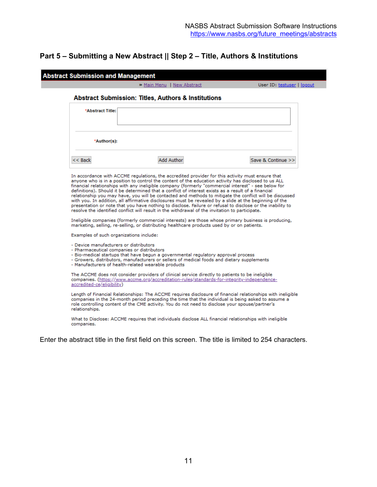# <span id="page-10-0"></span>**Part 5 – Submitting a New Abstract || Step 2 – Title, Authors & Institutions**

|                                                                                      | » Main Menu   New Abstract                                                                                                                                                                                                                                                                                                                                                                                                                                                                                                                                                                                                                                                                                                                                                                                                                                                                                                                                                                                                                                         | User ID: testuser   logout                                                                                  |
|--------------------------------------------------------------------------------------|--------------------------------------------------------------------------------------------------------------------------------------------------------------------------------------------------------------------------------------------------------------------------------------------------------------------------------------------------------------------------------------------------------------------------------------------------------------------------------------------------------------------------------------------------------------------------------------------------------------------------------------------------------------------------------------------------------------------------------------------------------------------------------------------------------------------------------------------------------------------------------------------------------------------------------------------------------------------------------------------------------------------------------------------------------------------|-------------------------------------------------------------------------------------------------------------|
|                                                                                      | <b>Abstract Submission: Titles, Authors &amp; Institutions</b>                                                                                                                                                                                                                                                                                                                                                                                                                                                                                                                                                                                                                                                                                                                                                                                                                                                                                                                                                                                                     |                                                                                                             |
| *Abstract Title:                                                                     |                                                                                                                                                                                                                                                                                                                                                                                                                                                                                                                                                                                                                                                                                                                                                                                                                                                                                                                                                                                                                                                                    |                                                                                                             |
| *Author(s):                                                                          |                                                                                                                                                                                                                                                                                                                                                                                                                                                                                                                                                                                                                                                                                                                                                                                                                                                                                                                                                                                                                                                                    |                                                                                                             |
| $<<$ Back                                                                            | <b>Add Author</b>                                                                                                                                                                                                                                                                                                                                                                                                                                                                                                                                                                                                                                                                                                                                                                                                                                                                                                                                                                                                                                                  | Save & Continue >>                                                                                          |
|                                                                                      | In accordance with ACCME regulations, the accredited provider for this activity must ensure that<br>anyone who is in a position to control the content of the education activity has disclosed to us ALL<br>financial relationships with any ineligible company (formerly "commercial interest" - see below for<br>definitions). Should it be determined that a conflict of interest exists as a result of a financial<br>relationship you may have, you will be contacted and methods to mitigate the conflict will be discussed<br>with you. In addition, all affirmative disclosures must be revealed by a slide at the beginning of the<br>presentation or note that you have nothing to disclose. Failure or refusal to disclose or the inability to<br>resolve the identified conflict will result in the withdrawal of the invitation to participate.<br>Ineligible companies (formerly commercial interests) are those whose primary business is producing,<br>marketing, selling, re-selling, or distributing healthcare products used by or on patients. |                                                                                                             |
| Examples of such organizations include:                                              |                                                                                                                                                                                                                                                                                                                                                                                                                                                                                                                                                                                                                                                                                                                                                                                                                                                                                                                                                                                                                                                                    |                                                                                                             |
| - Device manufacturers or distributors<br>- Pharmaceutical companies or distributors | - Bio-medical startups that have begun a governmental regulatory approval process<br>- Growers, distributors, manufacturers or sellers of medical foods and dietary supplements<br>- Manufacturers of health-related wearable products                                                                                                                                                                                                                                                                                                                                                                                                                                                                                                                                                                                                                                                                                                                                                                                                                             |                                                                                                             |
| accredited-ce/eligibility)                                                           | The ACCME does not consider providers of clinical service directly to patients to be ineligible<br>companies. (https://www.accme.org/accreditation-rules/standards-for-integrity-independence-                                                                                                                                                                                                                                                                                                                                                                                                                                                                                                                                                                                                                                                                                                                                                                                                                                                                     |                                                                                                             |
|                                                                                      |                                                                                                                                                                                                                                                                                                                                                                                                                                                                                                                                                                                                                                                                                                                                                                                                                                                                                                                                                                                                                                                                    | Length of Financial Relationships: The ACCME requires disclosure of financial relationships with ineligible |
| relationships.                                                                       | companies in the 24-month period preceding the time that the individual is being asked to assume a<br>role controlling content of the CME activity. You do not need to disclose your spouse/partner's                                                                                                                                                                                                                                                                                                                                                                                                                                                                                                                                                                                                                                                                                                                                                                                                                                                              |                                                                                                             |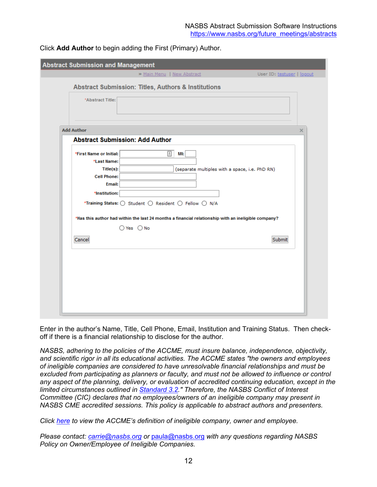| <b>Abstract Submission and Management</b>                                                               |                                                                                                                                                                                                                                                                                                |                            |
|---------------------------------------------------------------------------------------------------------|------------------------------------------------------------------------------------------------------------------------------------------------------------------------------------------------------------------------------------------------------------------------------------------------|----------------------------|
|                                                                                                         | > Main Menu   New Abstract                                                                                                                                                                                                                                                                     | User ID: testuser   logout |
|                                                                                                         | <b>Abstract Submission: Titles, Authors &amp; Institutions</b>                                                                                                                                                                                                                                 |                            |
| *Abstract Title:                                                                                        |                                                                                                                                                                                                                                                                                                |                            |
| <b>Add Author</b>                                                                                       |                                                                                                                                                                                                                                                                                                | ×                          |
|                                                                                                         | <b>Abstract Submission: Add Author</b>                                                                                                                                                                                                                                                         |                            |
| *First Name or Initial:<br>*Last Name:<br>$Title(s)$ :<br><b>Cell Phone:</b><br>Email:<br>*Institution: | 固<br>MI:<br>(separate multiples with a space, i.e. PhD RN)<br>*Training Status: $\bigcirc$ Student $\bigcirc$ Resident $\bigcirc$ Fellow $\bigcirc$ N/A<br>*Has this author had within the last 24 months a financial relationship with an ineligible company?<br>$\bigcirc$ Yes $\bigcirc$ No |                            |
| Cancel                                                                                                  |                                                                                                                                                                                                                                                                                                | Submit                     |

Click **Add Author** to begin adding the First (Primary) Author.

Enter in the author's Name, Title, Cell Phone, Email, Institution and Training Status. Then checkoff if there is a financial relationship to disclose for the author.

*NASBS, adhering to the policies of the ACCME, must insure balance, independence, objectivity, and scientific rigor in all its educational activities. The ACCME states "the owners and employees of ineligible companies are considered to have unresolvable financial relationships and must be*  excluded from participating as planners or faculty, and must not be allowed to influence or control *any aspect of the planning, delivery, or evaluation of accredited continuing education, except in the limited circumstances outlined in [Standard 3.2.](https://www.accme.org/accreditation-rules/standards-for-integrity-independence-accredited-ce/standard-3-identify-mitigate-and-disclose-relevant-financial-relationships)" Therefore, the NASBS Conflict of Interest Committee (CIC) declares that no employees/owners of an ineligible company may present in NASBS CME accredited sessions. This policy is applicable to abstract authors and presenters.* 

*Click [here](https://www.accme.org/accreditation-rules/standards-for-integrity-independence-accredited-ce/eligibility) to view the ACCME's definition of ineligible company, owner and employee.*

*Please contact: [carrie@nasbs.org](mailto:carrie@nasbs.org?cc=paula@nasbs.org&subject=NASBS%20Policy%20on%20Owner%2FEmployee%20of%20Ineligible%20Companies) or* [paula@nasbs.org](mailto:paula@nasbs.org?cc=carrie@nasbs.org&subject=NASBS%20Policy%20on%20Owner%2FEmployee%20of%20Ineligible%20Companies) *with any questions regarding NASBS Policy on Owner/Employee of Ineligible Companies.*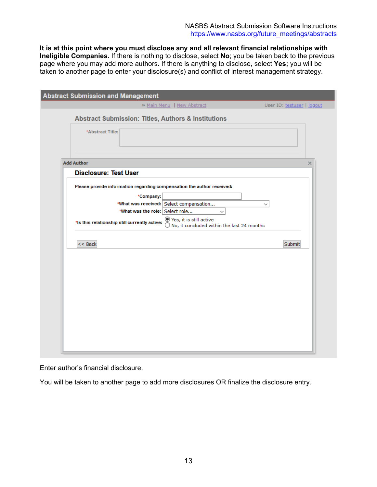**It is at this point where you must disclose any and all relevant financial relationships with Ineligible Companies.** If there is nothing to disclose, select **No**; you be taken back to the previous page where you may add more authors. If there is anything to disclose, select **Yes;** you will be taken to another page to enter your disclosure(s) and conflict of interest management strategy.

| <b>Abstract Submission and Management</b>                                                                                                                                                                                                                                                                                                              |                            |
|--------------------------------------------------------------------------------------------------------------------------------------------------------------------------------------------------------------------------------------------------------------------------------------------------------------------------------------------------------|----------------------------|
| » Main Menu   New Abstract                                                                                                                                                                                                                                                                                                                             | User ID: testuser   logout |
| <b>Abstract Submission: Titles, Authors &amp; Institutions</b>                                                                                                                                                                                                                                                                                         |                            |
| *Abstract Title:                                                                                                                                                                                                                                                                                                                                       |                            |
| <b>Add Author</b>                                                                                                                                                                                                                                                                                                                                      | $\times$                   |
| <b>Disclosure: Test User</b>                                                                                                                                                                                                                                                                                                                           |                            |
| Please provide information regarding compensation the author received:<br>*Company:<br>*What was received: Select compensation<br>*What was the role: Select role<br>$\checkmark$<br>$\odot$ Yes, it is still active<br>*Is this relationship still currently active:<br>$\overline{\bigcirc}$ No, it concluded within the last 24 months<br>$<<$ Back | $\checkmark$<br>Submit     |

Enter author's financial disclosure.

You will be taken to another page to add more disclosures OR finalize the disclosure entry.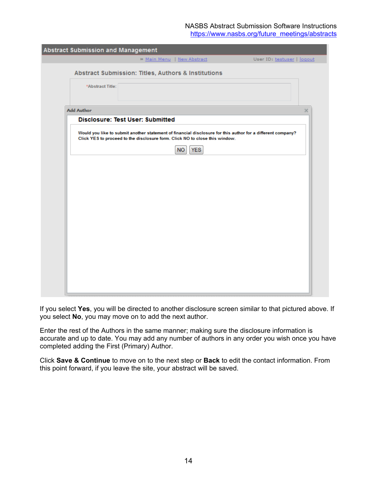NASBS Abstract Submission Software Instructions [https://www.nasbs.org/future\\_meetings/abstracts](https://www.nasbs.org/future_meetings/abstracts)

| Abstract Submission and Management                                                                                                                                                         |  |
|--------------------------------------------------------------------------------------------------------------------------------------------------------------------------------------------|--|
| » Main Menu   New Abstract<br>User ID: testuser   logout                                                                                                                                   |  |
| <b>Abstract Submission: Titles, Authors &amp; Institutions</b>                                                                                                                             |  |
| *Abstract Title:                                                                                                                                                                           |  |
| <b>Add Author</b><br>×                                                                                                                                                                     |  |
| <b>Disclosure: Test User: Submitted</b>                                                                                                                                                    |  |
| Would you like to submit another statement of financial disclosure for this author for a different company?<br>Click YES to proceed to the disclosure form. Click NO to close this window. |  |
| <b>YES</b><br>NO.                                                                                                                                                                          |  |
|                                                                                                                                                                                            |  |
|                                                                                                                                                                                            |  |
|                                                                                                                                                                                            |  |
|                                                                                                                                                                                            |  |
|                                                                                                                                                                                            |  |
|                                                                                                                                                                                            |  |
|                                                                                                                                                                                            |  |
|                                                                                                                                                                                            |  |
|                                                                                                                                                                                            |  |
|                                                                                                                                                                                            |  |
|                                                                                                                                                                                            |  |
|                                                                                                                                                                                            |  |

If you select **Yes**, you will be directed to another disclosure screen similar to that pictured above. If you select **No**, you may move on to add the next author.

Enter the rest of the Authors in the same manner; making sure the disclosure information is accurate and up to date. You may add any number of authors in any order you wish once you have completed adding the First (Primary) Author.

Click **Save & Continue** to move on to the next step or **Back** to edit the contact information. From this point forward, if you leave the site, your abstract will be saved.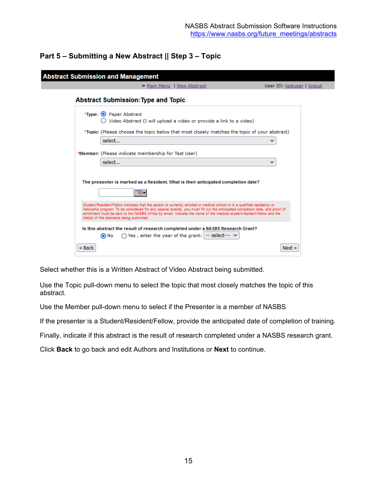# <span id="page-14-0"></span>**Part 5 – Submitting a New Abstract || Step 3 – Topic**

|        | <b>Abstract Submission and Management</b>                                                                                                                                                                                                                                                                                                                                                                                        |                            |
|--------|----------------------------------------------------------------------------------------------------------------------------------------------------------------------------------------------------------------------------------------------------------------------------------------------------------------------------------------------------------------------------------------------------------------------------------|----------------------------|
|        | > Main Menu   New Abstract                                                                                                                                                                                                                                                                                                                                                                                                       | User ID: testuser   logout |
|        | <b>Abstract Submission: Type and Topic</b>                                                                                                                                                                                                                                                                                                                                                                                       |                            |
|        | *Type: O Paper Abstract<br>Video Abstract (I will upload a video or provide a link to a video)                                                                                                                                                                                                                                                                                                                                   |                            |
|        | *Topic: (Please choose the topic below that most closely matches the topic of your abstract)<br>select                                                                                                                                                                                                                                                                                                                           | v                          |
|        | *Member: (Please indicate membership for Test User)<br>select                                                                                                                                                                                                                                                                                                                                                                    | $\checkmark$               |
|        | The presenter is marked as a Resident. What is their anticipated completion date?<br>ত-                                                                                                                                                                                                                                                                                                                                          |                            |
|        | Student/Resident/Fellow indicates that the person is currently enrolled in medical school or in a qualified residency or<br>fellowship program. To be considered for any special awards, you must fill out the anticipated completion date, and proof of<br>enrollment must be sent to the NASBS office by email. Indicate the name of the medical student/resident/fellow and the<br>title(s) of the abstracts being submitted. |                            |
|        | Is this abstract the result of research completed under a NASBS Research Grant?<br>$\bigcap$ Yes, enter the year of the grant: $\big $ -- select--- $\vee$<br>O No                                                                                                                                                                                                                                                               |                            |
| « Back |                                                                                                                                                                                                                                                                                                                                                                                                                                  | $Next$ $\ast$              |

Select whether this is a Written Abstract of Video Abstract being submitted.

Use the Topic pull-down menu to select the topic that most closely matches the topic of this abstract.

Use the Member pull-down menu to select if the Presenter is a member of NASBS

If the presenter is a Student/Resident/Fellow, provide the anticipated date of completion of training.

Finally, indicate if this abstract is the result of research completed under a NASBS research grant.

Click **Back** to go back and edit Authors and Institutions or **Next** to continue.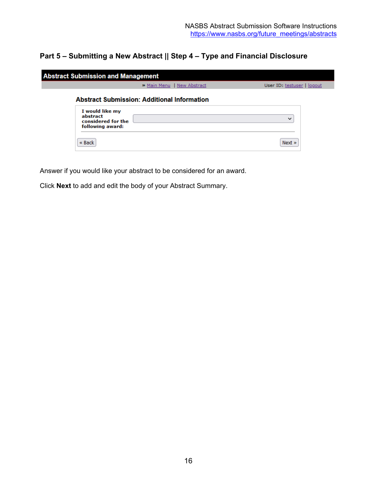# **Part 5 – Submitting a New Abstract || Step 4 – Type and Financial Disclosure**

|                                                                       | > Main Menu   New Abstract                         | User ID: testuser   logout |
|-----------------------------------------------------------------------|----------------------------------------------------|----------------------------|
|                                                                       | <b>Abstract Submission: Additional Information</b> |                            |
| I would like my<br>abstract<br>considered for the<br>following award: |                                                    | $\checkmark$               |
| « Back                                                                |                                                    | Next »                     |

Answer if you would like your abstract to be considered for an award.

Click **Next** to add and edit the body of your Abstract Summary.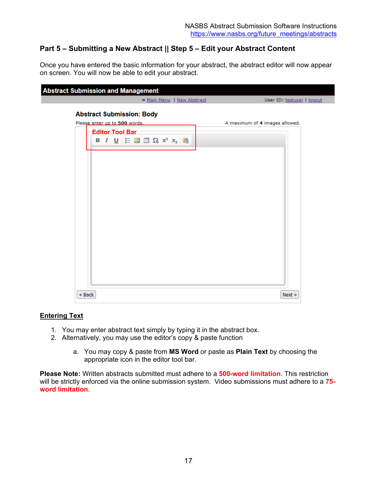# **Part 5 – Submitting a New Abstract || Step 5 – Edit your Abstract Content**

Once you have entered the basic information for your abstract, the abstract editor will now appear on screen. You will now be able to edit your abstract.

| <b>Abstract Submission and Management</b> |        |                        |                                                                   |                                                                          |  |                                |        |                            |
|-------------------------------------------|--------|------------------------|-------------------------------------------------------------------|--------------------------------------------------------------------------|--|--------------------------------|--------|----------------------------|
|                                           |        |                        |                                                                   | » Main Menu   New Abstract                                               |  |                                |        | User ID: testuser   logout |
|                                           |        | <b>Editor Tool Bar</b> | <b>Abstract Submission: Body</b><br>Please enter up to 500 words. | <b>B</b> $I \cup E$ <b>E E</b> $\mathbf{E} \times \mathbf{x}_2$ <b>E</b> |  | A maximum of 4 images allowed. |        |                            |
|                                           | « Back |                        |                                                                   |                                                                          |  |                                | Next » |                            |

### **Entering Text**

- 1. You may enter abstract text simply by typing it in the abstract box.
- 2. Alternatively, you may use the editor's copy & paste function
	- a. You may copy & paste from **MS Word** or paste as **Plain Text** by choosing the appropriate icon in the editor tool bar.

**Please Note:** Written abstracts submitted must adhere to a **500-word limitation**. This restriction will be strictly enforced via the online submission system. Video submissions must adhere to a **75 word limitation**.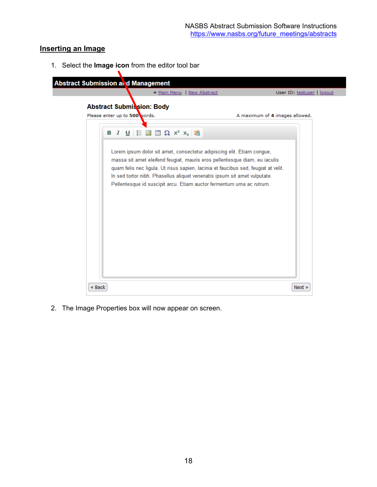### **Inserting an Image**

1. Select the **Image icon** from the editor tool bar



2. The Image Properties box will now appear on screen.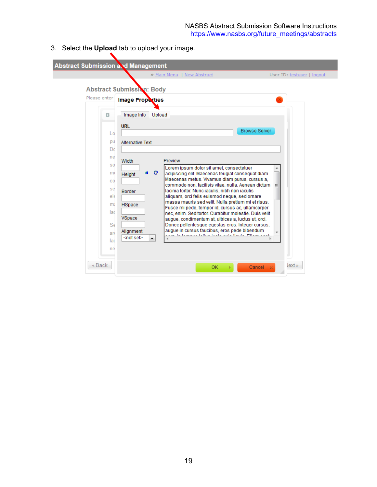3. Select the **Upload** tab to upload your image.

| <b>Abstract Submission and Management</b> |                                                                                                                         |  |
|-------------------------------------------|-------------------------------------------------------------------------------------------------------------------------|--|
|                                           | » Main Menu   New Abstract<br>User ID: testuser   logout                                                                |  |
|                                           | Abstract Submission: Body                                                                                               |  |
| Please enter                              | <b>Image Properties</b>                                                                                                 |  |
| в                                         | Image Info<br>Upload                                                                                                    |  |
|                                           | <b>URL</b><br>Browse Server                                                                                             |  |
| Lo                                        |                                                                                                                         |  |
| pu                                        | <b>Alternative Text</b>                                                                                                 |  |
| Dd                                        |                                                                                                                         |  |
| ne                                        | Preview<br>Width                                                                                                        |  |
| S0                                        | Lorem ipsum dolor sit amet, consectetuer                                                                                |  |
| m                                         | $\mathbf C$<br>Θ.<br>adipiscing elit. Maecenas feugiat consequat diam.<br>Height                                        |  |
| $_{\rm CO}$                               | Maecenas metus. Vivamus diam purus, cursus a.<br>commodo non, facilisis vitae, nulla. Aenean dictum                     |  |
| se                                        | lacinia tortor. Nunc iaculis, nibh non iaculis<br><b>Border</b>                                                         |  |
| $e$ <sub>l</sub>                          | aliquam, orci felis euismod neque, sed ornare                                                                           |  |
| m                                         | massa mauris sed velit. Nulla pretium mi et risus.<br><b>HSpace</b><br>Fusce mi pede, tempor id, cursus ac, ullamcorper |  |
| lad                                       | nec, enim. Sed tortor. Curabitur molestie. Duis velit                                                                   |  |
|                                           | VSpace<br>augue, condimentum at, ultrices a, luctus ut, orci.                                                           |  |
| $S_6$                                     | Donec pellentesque egestas eros, integer cursus,<br>augue in cursus faucibus, eros pede bibendum<br>Alignment           |  |
| ard                                       | <not set=""><br/><math display="inline">\blacktriangledown</math></not>                                                 |  |
| lad                                       |                                                                                                                         |  |
| ne                                        |                                                                                                                         |  |
|                                           |                                                                                                                         |  |
| « Back                                    | lext »<br>Cancel<br>OK.                                                                                                 |  |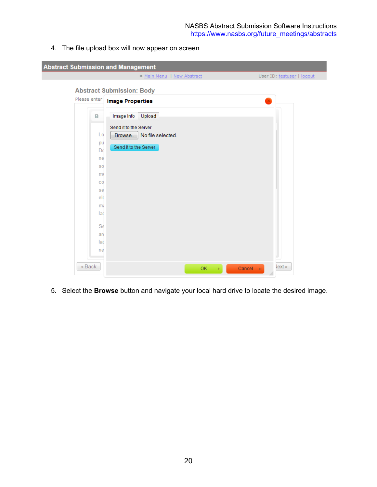4. The file upload box will now appear on screen

| <b>Abstract Submission and Management</b>                                            |                                                                                                       |                                    |
|--------------------------------------------------------------------------------------|-------------------------------------------------------------------------------------------------------|------------------------------------|
|                                                                                      | » Main Menu   New Abstract                                                                            | User ID: testuser   logout         |
|                                                                                      | <b>Abstract Submission: Body</b>                                                                      |                                    |
| Please enter                                                                         | <b>Image Properties</b>                                                                               |                                    |
| в.<br>Lo<br>pu<br>Do<br>ne<br><b>SO</b><br>m<br>CO<br>se<br>ele<br>m<br>lad<br>$S_6$ | Upload<br>Image Info<br>Send it to the Server<br>Browse.   No file selected.<br>Send it to the Server |                                    |
| ard<br>lad                                                                           |                                                                                                       |                                    |
| ne<br>« Back                                                                         | OK.                                                                                                   | lext »<br>Cancel<br>$\infty$<br>b. |

5. Select the **Browse** button and navigate your local hard drive to locate the desired image.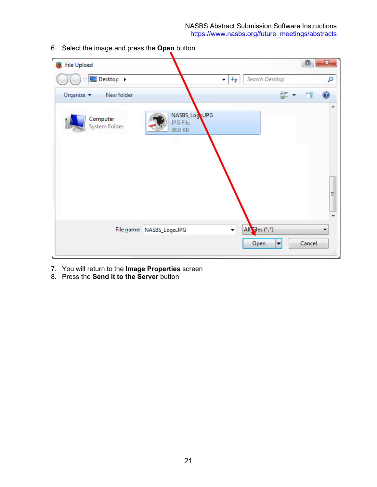NASBS Abstract Submission Software Instructions [https://www.nasbs.org/future\\_meetings/abstracts](https://www.nasbs.org/future_meetings/abstracts)

| <b>File Upload</b>                          |                                       |                                                     |                             | G      | $\mathbf{x}$   |
|---------------------------------------------|---------------------------------------|-----------------------------------------------------|-----------------------------|--------|----------------|
| Desktop ▶                                   |                                       | Search Desktop<br>↮<br>$\mathbf{v}$                 |                             |        | م              |
| Organize $\blacktriangledown$<br>New folder |                                       |                                                     | $rac{E}{M}$ = $\rightarrow$ | 団      | $\circledcirc$ |
| Computer<br>System Folder                   | NASBS_Logo.JPG<br>JPG File<br>28.0 KB |                                                     |                             |        | ┻<br>Ξ         |
| File name: NASBS_Logo.JPG                   |                                       | All Files (*.*)<br>$\color{blue}\star$<br>Open<br>► |                             | Cancel | zi.            |

6. Select the image and press the **Open** button

7. You will return to the **Image Properties** screen

8. Press the **Send it to the Server** button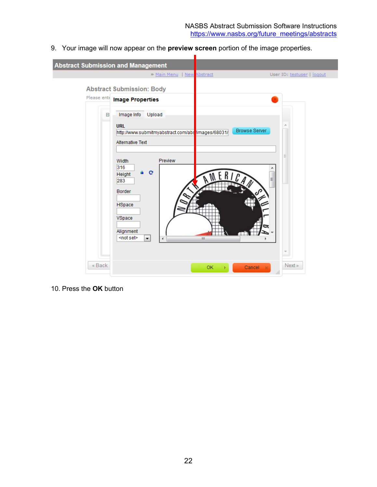9. Your image will now appear on the **preview screen** portion of the image properties.



## 10. Press the **OK** button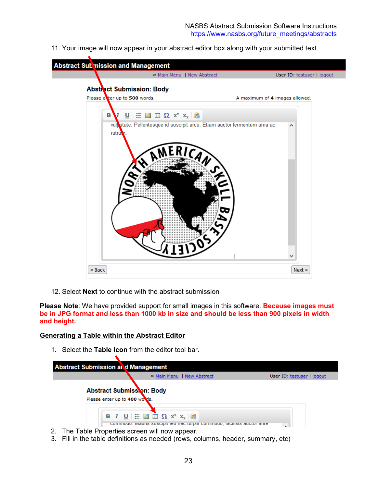11. Your image will now appear in your abstract editor box along with your submitted text.



12. Select **Next** to continue with the abstract submission

**Please Note**: We have provided support for small images in this software. **Because images must be in JPG format and less than 1000 kb in size and should be less than 900 pixels in width and height.**

### **Generating a Table within the Abstract Editor**

1. Select the **Table Icon** from the editor tool bar.

| <b>Abstract Submission at d Management</b> |                                                                   | » Main Menu   New Abstract                                                                                                                                           | User ID: testuser   logout |
|--------------------------------------------|-------------------------------------------------------------------|----------------------------------------------------------------------------------------------------------------------------------------------------------------------|----------------------------|
|                                            | <b>Abstract Submission: Body</b><br>Please enter up to 400 words. |                                                                                                                                                                      |                            |
|                                            |                                                                   | <b>B</b> $I \cup \equiv \blacksquare$ $\blacksquare$ $\Omega$ $x^2$ $x_2$ $\blacksquare$<br>commodo, mauns suscipit leo nec turpis commodo, iacinsis auctor ante<br> |                            |

- 2. The Table Properties screen will now appear.
- 3. Fill in the table definitions as needed (rows, columns, header, summary, etc)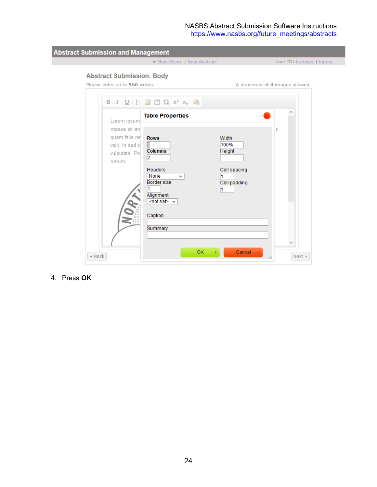#### NASBS Abstract Submission Software Instructions [https://www.nasbs.org/future\\_meetings/abstracts](https://www.nasbs.org/future_meetings/abstracts)

**Abstract Submission and Management** > Main Menu | New Abstract User ID: testuser | logout **Abstract Submission: Body** Please enter up to 500 words. A maximum of 4 images allowed. **B**  $I \cup E$   $\equiv$   $\equiv$   $\equiv$   $\Omega$   $x^2$   $x_2$   $\equiv$ **Table Properties** Lorem ipsum massa sit an q quam felis ne **Rows** Width velit. In sed to E 100% **Columns Height** vulputate. Pe  $\overline{2}$ rutrum. Cell spacing Headers None  $\checkmark$  $\vert$ 1 Border size Cell padding 11  $\vert$ 1 Alignment <not set> v Caption Summary  $Cancel - *x*$ OK  $\mathbb{R}^2$  $\ll$  Back Next  $\gg$ 

4. Press **OK**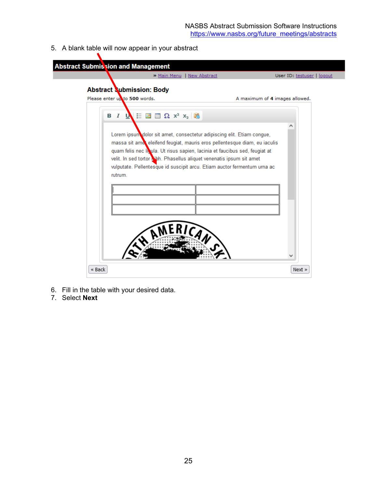5. A blank table will now appear in your abstract

| <b>Abstract Submis sion and Management</b>                        |                                                                                                                                                                                                                                                                                                                                                                                          |                                |
|-------------------------------------------------------------------|------------------------------------------------------------------------------------------------------------------------------------------------------------------------------------------------------------------------------------------------------------------------------------------------------------------------------------------------------------------------------------------|--------------------------------|
|                                                                   | » Main Menu   New Abstract                                                                                                                                                                                                                                                                                                                                                               | User ID: testuser   logout     |
| <b>Abstract Submission: Body</b><br>Please enter up to 500 words. |                                                                                                                                                                                                                                                                                                                                                                                          | A maximum of 4 images allowed. |
|                                                                   |                                                                                                                                                                                                                                                                                                                                                                                          |                                |
| B I U                                                             | $\equiv$ $\blacksquare$ $\blacksquare$ $\Omega$ $x^2$ $x_2$ $\blacksquare$                                                                                                                                                                                                                                                                                                               |                                |
| rutrum.                                                           | Lorem ipsum dolor sit amet, consectetur adipiscing elit. Etiam congue,<br>massa sit ame eleifend feugiat, mauris eros pellentesque diam, eu iaculis<br>quam felis nec liquia. Ut risus sapien, lacinia et faucibus sed, feugiat at<br>velit. In sed tortor bibli. Phasellus aliquet venenatis ipsum sit amet<br>vulputate. Pellentesque id suscipit arcu. Etiam auctor fermentum urna ac |                                |
| « Back                                                            |                                                                                                                                                                                                                                                                                                                                                                                          | Next »                         |

- 6. Fill in the table with your desired data.
- 7. Select **Next**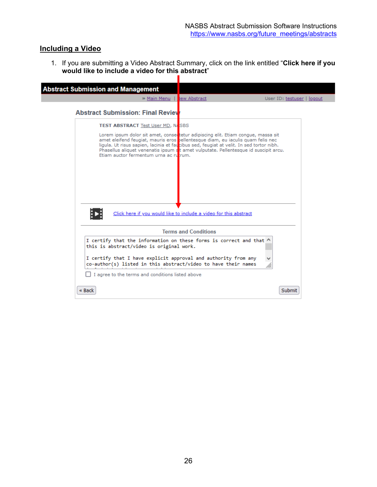### **Including a Video**

1. If you are submitting a Video Abstract Summary, click on the link entitled "**Click here if you would like to include a video for this abstract**"

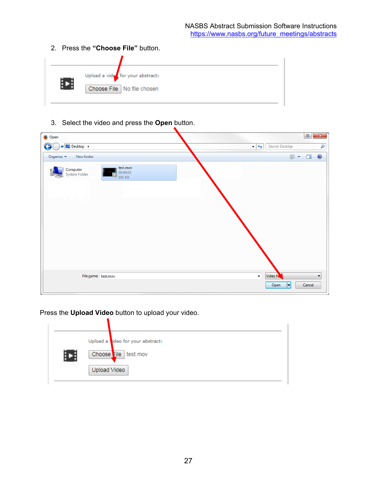2. Press the **"Choose File"** button.

| Upload a vide for your abstract:<br>Choose File   No file chosen |
|------------------------------------------------------------------|

3. Select the video and press the **Open** button.

| Open                      |                                |                                                                                                                                                                                                                                                                                                                                                                                                                                                                                                              | $\mathbb{B}$<br>$\mathbf{x}$ |
|---------------------------|--------------------------------|--------------------------------------------------------------------------------------------------------------------------------------------------------------------------------------------------------------------------------------------------------------------------------------------------------------------------------------------------------------------------------------------------------------------------------------------------------------------------------------------------------------|------------------------------|
| Desktop ><br>$\epsilon$   |                                | $\mathcal{L}_{\tilde{T}}$<br>Search Desktop<br>$\left  \cdot \right $                                                                                                                                                                                                                                                                                                                                                                                                                                        | م                            |
| New folder<br>Organize v  |                                | $\begin{array}{c}\n\mathbf{E}^{\text{in}}_{\text{in}} & \mathbf{v} \quad \text{and} \quad \mathbf{v} \quad \text{and} \quad \mathbf{v} \quad \text{and} \quad \mathbf{v} \quad \text{and} \quad \mathbf{v} \quad \text{and} \quad \mathbf{v} \quad \text{and} \quad \mathbf{v} \quad \text{and} \quad \mathbf{v} \quad \text{and} \quad \mathbf{v} \quad \text{and} \quad \mathbf{v} \quad \text{and} \quad \mathbf{v} \quad \text{and} \quad \mathbf{v} \quad \text{and} \quad \mathbf{v} \quad \text{and}$ | $\bullet$                    |
| Computer<br>System Folder | test.mov<br>00:00:10<br>101 KB |                                                                                                                                                                                                                                                                                                                                                                                                                                                                                                              |                              |
|                           |                                |                                                                                                                                                                                                                                                                                                                                                                                                                                                                                                              |                              |
|                           |                                |                                                                                                                                                                                                                                                                                                                                                                                                                                                                                                              |                              |
|                           |                                |                                                                                                                                                                                                                                                                                                                                                                                                                                                                                                              |                              |
| File name: test.mov       |                                | Video fi<br>$\star$                                                                                                                                                                                                                                                                                                                                                                                                                                                                                          | $\overline{\phantom{a}}$     |
|                           |                                | H<br>Open                                                                                                                                                                                                                                                                                                                                                                                                                                                                                                    | Cancel                       |

Press the **Upload Video** button to upload your video.

|   | Upload a dideo for your abstract: |
|---|-----------------------------------|
| Е | Choose ile test.mov               |
|   | Upload Video                      |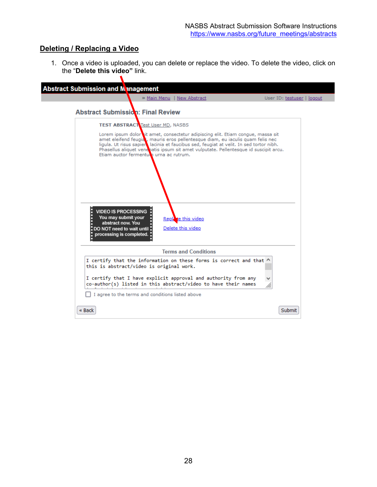# **Deleting / Replacing a Video**

 $\blacktriangledown$ 

1. Once a video is uploaded, you can delete or replace the video. To delete the video, click on the "**Delete this video"** link.

|                                                                                                                                     | » Main Menu   New Abstract                                                                                                                                                                                                                                                                                                                            | User ID: testuser   logout |
|-------------------------------------------------------------------------------------------------------------------------------------|-------------------------------------------------------------------------------------------------------------------------------------------------------------------------------------------------------------------------------------------------------------------------------------------------------------------------------------------------------|----------------------------|
| <b>Abstract Submission: Final Review</b>                                                                                            |                                                                                                                                                                                                                                                                                                                                                       |                            |
| <b>TEST ABSTRACT Test User MD, NASBS</b>                                                                                            |                                                                                                                                                                                                                                                                                                                                                       |                            |
| Etiam auctor fermentum urna ac rutrum.                                                                                              | Lorem ipsum dolor it amet, consectetur adipiscing elit. Etiam congue, massa sit<br>amet eleifend feugiat, mauris eros pellentesque diam, eu iaculis quam felis nec<br>ligula. Ut risus sapier lacinia et faucibus sed, feugiat at velit. In sed tortor nibh.<br>Phasellus aliquet venentatis ipsum sit amet vulputate. Pellentesque id suscipit arcu. |                            |
| <b>VIDEO IS PROCESSING</b><br>You may submit your<br>abstract now. You<br>. DO NOT need to wait until .<br>processing is completed. | Replate this video<br>Delete this video                                                                                                                                                                                                                                                                                                               |                            |
|                                                                                                                                     | <b>Terms and Conditions</b>                                                                                                                                                                                                                                                                                                                           |                            |
| this is abstract/video is original work.                                                                                            | I certify that the information on these forms is correct and that ^                                                                                                                                                                                                                                                                                   |                            |
|                                                                                                                                     | I certify that I have explicit approval and authority from any<br>co-author(s) listed in this abstract/video to have their names                                                                                                                                                                                                                      |                            |
| I agree to the terms and conditions listed above                                                                                    |                                                                                                                                                                                                                                                                                                                                                       |                            |
|                                                                                                                                     |                                                                                                                                                                                                                                                                                                                                                       |                            |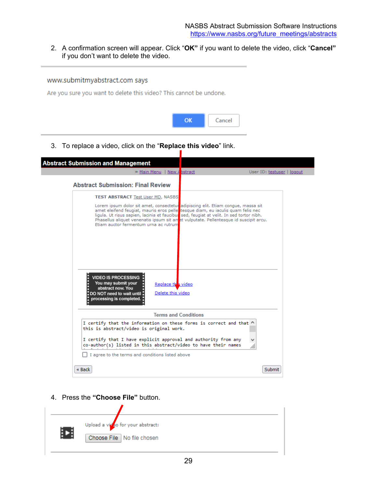2. A confirmation screen will appear. Click "**OK"** if you want to delete the video, click "**Cancel"** if you don't want to delete the video.

### www.submitmyabstract.com says

Are you sure you want to delete this video? This cannot be undone.



3. To replace a video, click on the "**Replace this video**" link.

| <b>Abstract Submission and Management</b>                                                                                         | » Main Menu   New A bstract                                                                                                                                                                                                                                                                                                                                                                     | User ID: testuser   logout |
|-----------------------------------------------------------------------------------------------------------------------------------|-------------------------------------------------------------------------------------------------------------------------------------------------------------------------------------------------------------------------------------------------------------------------------------------------------------------------------------------------------------------------------------------------|----------------------------|
| <b>Abstract Submission: Final Review</b>                                                                                          |                                                                                                                                                                                                                                                                                                                                                                                                 |                            |
|                                                                                                                                   | <b>TEST ABSTRACT Test User MD, NASBS</b>                                                                                                                                                                                                                                                                                                                                                        |                            |
|                                                                                                                                   | Lorem ipsum dolor sit amet, consectetur adipiscing elit. Etiam conque, massa sit<br>amet eleifend feugiat, mauris eros pelle tesque diam, eu iaculis quam felis nec<br>ligula. Ut risus sapien, lacinia et faucibus sed, feugiat at velit. In sed tortor nibh.<br>Phasellus aliquet venenatis ipsum sit amet vulputate. Pellentesque id suscipit arcu.<br>Etiam auctor fermentum urna ac rutrum |                            |
|                                                                                                                                   |                                                                                                                                                                                                                                                                                                                                                                                                 |                            |
| <b>VIDEO IS PROCESSING</b><br>You may submit your<br>abstract now. You<br>. DO NOT need to wait until<br>processing is completed. | Replace the video<br>Delete this video                                                                                                                                                                                                                                                                                                                                                          |                            |
|                                                                                                                                   | <b>Terms and Conditions</b>                                                                                                                                                                                                                                                                                                                                                                     |                            |
|                                                                                                                                   | I certify that the information on these forms is correct and that ^<br>this is abstract/video is original work.                                                                                                                                                                                                                                                                                 |                            |
|                                                                                                                                   | I certify that I have explicit approval and authority from any<br>co-author(s) listed in this abstract/video to have their names                                                                                                                                                                                                                                                                |                            |
|                                                                                                                                   | I agree to the terms and conditions listed above                                                                                                                                                                                                                                                                                                                                                |                            |
| « Back                                                                                                                            |                                                                                                                                                                                                                                                                                                                                                                                                 | <b>Submit</b>              |

4. Press the **"Choose File"** button.

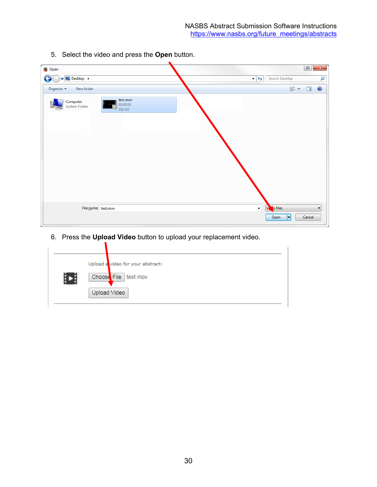| Open                                        |                                |                                                | $\mathbb{B}$                           | $\mathbf{x}$ |
|---------------------------------------------|--------------------------------|------------------------------------------------|----------------------------------------|--------------|
| Desktop ><br>G                              |                                | Search Desktop<br>$\mathbf{v}$ $\mathbf{t}$    |                                        | م            |
| New folder<br>Organize $\blacktriangledown$ |                                |                                                | $\frac{d}{dt} = \frac{1}{2}$<br>$\Box$ | $\bigcirc$   |
| Computer<br>System Folder                   | test.mov<br>00:00:10<br>101 KB |                                                |                                        |              |
|                                             |                                |                                                |                                        |              |
| File name: test.mov                         |                                | $\mathbf{r}$<br>V <sub>2</sub> o files<br>Open | H<br>Cancel                            | ۰            |

5. Select the video and press the **Open** button.

6. Press the **Upload Video** button to upload your replacement video.

| Þ |              | Upload a video for your abstract:<br>Choose File test.mov |
|---|--------------|-----------------------------------------------------------|
|   | Upload Video |                                                           |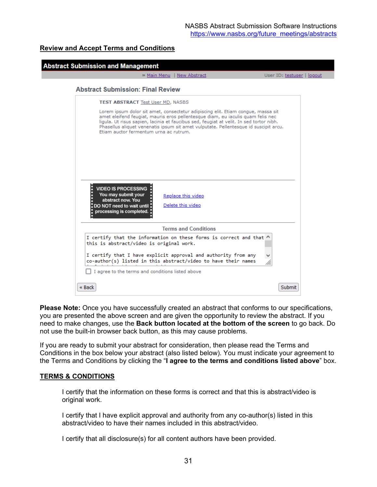### **Review and Accept Terms and Conditions**

|                                                                                                                                | <b>Abstract Submission and Management</b>                                                                                                                                                                                                                                                                                                                                                        |                            |
|--------------------------------------------------------------------------------------------------------------------------------|--------------------------------------------------------------------------------------------------------------------------------------------------------------------------------------------------------------------------------------------------------------------------------------------------------------------------------------------------------------------------------------------------|----------------------------|
|                                                                                                                                | » Main Menu   New Abstract                                                                                                                                                                                                                                                                                                                                                                       | User ID: testuser   logout |
| <b>Abstract Submission: Final Review</b>                                                                                       |                                                                                                                                                                                                                                                                                                                                                                                                  |                            |
|                                                                                                                                | <b>TEST ABSTRACT Test User MD, NASBS</b>                                                                                                                                                                                                                                                                                                                                                         |                            |
|                                                                                                                                | Lorem ipsum dolor sit amet, consectetur adipiscing elit. Etiam congue, massa sit<br>amet eleifend feugiat, mauris eros pellentesque diam, eu iaculis quam felis nec<br>ligula. Ut risus sapien, lacinia et faucibus sed, feugiat at velit. In sed tortor nibh.<br>Phasellus aliquet venenatis ipsum sit amet vulputate. Pellentesque id suscipit arcu.<br>Etiam auctor fermentum urna ac rutrum. |                            |
|                                                                                                                                |                                                                                                                                                                                                                                                                                                                                                                                                  |                            |
|                                                                                                                                |                                                                                                                                                                                                                                                                                                                                                                                                  |                            |
| VIDEO IS PROCESSING :<br>You may submit your<br>abstract now. You<br>. DO NOT need to wait until .<br>processing is completed. | Replace this video<br>Delete this video                                                                                                                                                                                                                                                                                                                                                          |                            |
|                                                                                                                                | <b>Terms and Conditions</b>                                                                                                                                                                                                                                                                                                                                                                      |                            |
|                                                                                                                                | I certify that the information on these forms is correct and that ^<br>this is abstract/video is original work.                                                                                                                                                                                                                                                                                  |                            |
|                                                                                                                                | I certify that I have explicit approval and authority from any<br>co-author(s) listed in this abstract/video to have their names                                                                                                                                                                                                                                                                 |                            |
|                                                                                                                                | I agree to the terms and conditions listed above                                                                                                                                                                                                                                                                                                                                                 |                            |
|                                                                                                                                |                                                                                                                                                                                                                                                                                                                                                                                                  |                            |

**Please Note:** Once you have successfully created an abstract that conforms to our specifications, you are presented the above screen and are given the opportunity to review the abstract. If you need to make changes, use the **Back button located at the bottom of the screen** to go back. Do not use the built-in browser back button, as this may cause problems.

If you are ready to submit your abstract for consideration, then please read the Terms and Conditions in the box below your abstract (also listed below). You must indicate your agreement to the Terms and Conditions by clicking the "**I agree to the terms and conditions listed above**" box.

### **TERMS & CONDITIONS**

I certify that the information on these forms is correct and that this is abstract/video is original work.

I certify that I have explicit approval and authority from any co-author(s) listed in this abstract/video to have their names included in this abstract/video.

I certify that all disclosure(s) for all content authors have been provided.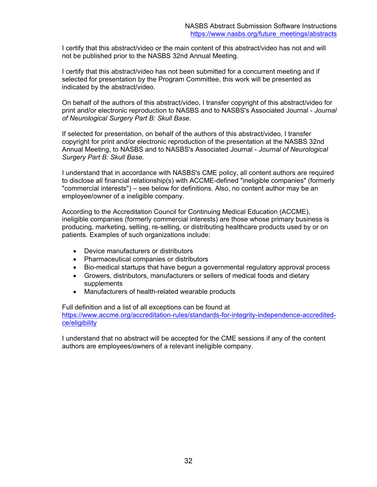I certify that this abstract/video or the main content of this abstract/video has not and will not be published prior to the NASBS 32nd Annual Meeting.

I certify that this abstract/video has not been submitted for a concurrent meeting and if selected for presentation by the Program Committee, this work will be presented as indicated by the abstract/video.

On behalf of the authors of this abstract/video, I transfer copyright of this abstract/video for print and/or electronic reproduction to NASBS and to NASBS's Associated Journal - *Journal of Neurological Surgery Part B: Skull Base.*

If selected for presentation, on behalf of the authors of this abstract/video, I transfer copyright for print and/or electronic reproduction of the presentation at the NASBS 32nd Annual Meeting, to NASBS and to NASBS's Associated Journal - *Journal of Neurological Surgery Part B: Skull Base.*

I understand that in accordance with NASBS's CME policy, all content authors are required to disclose all financial relationship(s) with ACCME-defined "ineligible companies" (formerly "commercial interests") – see below for definitions. Also, no content author may be an employee/owner of a ineligible company.

According to the Accreditation Council for Continuing Medical Education (ACCME), ineligible companies (formerly commercial interests) are those whose primary business is producing, marketing, selling, re-selling, or distributing healthcare products used by or on patients. Examples of such organizations include:

- Device manufacturers or distributors
- Pharmaceutical companies or distributors
- Bio-medical startups that have begun a governmental regulatory approval process
- Growers, distributors, manufacturers or sellers of medical foods and dietary supplements
- Manufacturers of health-related wearable products

Full definition and a list of all exceptions can be found at [https://www.accme.org/accreditation-rules/standards-for-integrity-independence-accredited](https://www.accme.org/accreditation-rules/standards-for-integrity-independence-accredited-ce/eligibility)[ce/eligibility](https://www.accme.org/accreditation-rules/standards-for-integrity-independence-accredited-ce/eligibility)

I understand that no abstract will be accepted for the CME sessions if any of the content authors are employees/owners of a relevant ineligible company.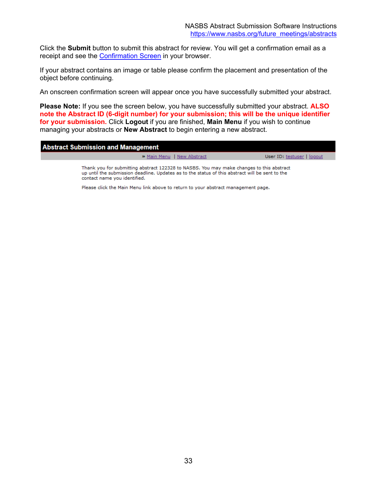Click the **Submit** button to submit this abstract for review. You will get a confirmation email as a receipt and see the [Confirmation Screen](#page-32-0) in your browser.

<span id="page-32-0"></span>If your abstract contains an image or table please confirm the placement and presentation of the object before continuing.

An onscreen confirmation screen will appear once you have successfully submitted your abstract.

**Please Note:** If you see the screen below, you have successfully submitted your abstract. **ALSO note the Abstract ID (6-digit number) for your submission; this will be the unique identifier for your submission.** Click **Logout** if you are finished, **Main Menu** if you wish to continue managing your abstracts or **New Abstract** to begin entering a new abstract.

| <b>Abstract Submission and Management</b> |
|-------------------------------------------|
|                                           |
|                                           |
|                                           |
|                                           |
|                                           |
|                                           |
|                                           |
|                                           |
|                                           |
|                                           |
|                                           |
|                                           |
|                                           |
|                                           |
|                                           |
|                                           |
|                                           |
|                                           |
|                                           |
|                                           |
|                                           |
|                                           |
|                                           |

» Main Menu | New Abstract

User ID: testuser | logout

Thank you for submitting abstract 122328 to NASBS. You may make changes to this abstract up until the submission deadline. Updates as to the status of this abstract will be sent to the contact name you identified.

Please click the Main Menu link above to return to your abstract management page.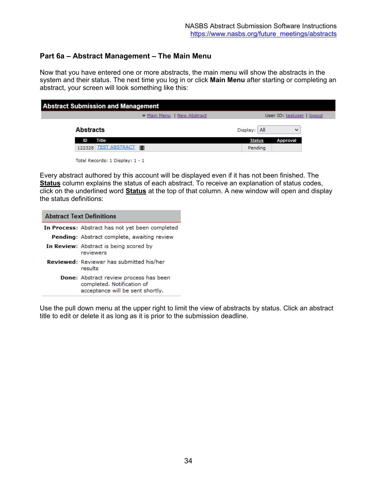# <span id="page-33-0"></span>**Part 6a – Abstract Management – The Main Menu**

Now that you have entered one or more abstracts, the main menu will show the abstracts in the system and their status. The next time you log in or click **Main Menu** after starting or completing an abstract, your screen will look something like this:

| <b>Abstract Submission and Management</b> |                                 |                             |              |               |                            |  |
|-------------------------------------------|---------------------------------|-----------------------------|--------------|---------------|----------------------------|--|
|                                           |                                 | >> Main Menu   New Abstract |              |               | User ID: testuser   logout |  |
| <b>Abstracts</b>                          |                                 |                             | Display: All |               | $\checkmark$               |  |
| ID                                        | Title                           |                             |              | <b>Status</b> | Approval                   |  |
|                                           | 122328 TEST ABSTRACT 图          |                             |              | Pending       |                            |  |
|                                           | Total Records: 1 Display: 1 - 1 |                             |              |               |                            |  |

Every abstract authored by this account will be displayed even if it has not been finished. The **Status** column explains the status of each abstract. To receive an explanation of status codes, click on the underlined word **Status** at the top of that column. A new window will open and display the status definitions:

| <b>Abstract Text Definitions</b>                                                                                |  |
|-----------------------------------------------------------------------------------------------------------------|--|
| In Process: Abstract has not yet been completed                                                                 |  |
| Pending: Abstract complete, awaiting review                                                                     |  |
| In Review: Abstract is being scored by<br>reviewers                                                             |  |
| Reviewed: Reviewer has submitted his/her<br>results                                                             |  |
| <b>Done:</b> Abstract review process has been<br>completed. Notification of<br>acceptance will be sent shortly. |  |

Use the pull down menu at the upper right to limit the view of abstracts by status. Click an abstract title to edit or delete it as long as it is prior to the submission deadline.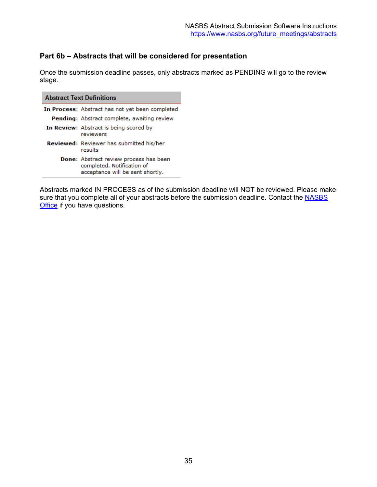# <span id="page-34-0"></span>**Part 6b – Abstracts that will be considered for presentation**

Once the submission deadline passes, only abstracts marked as PENDING will go to the review stage.

| <b>Abstract Text Definitions</b>                                                                                |
|-----------------------------------------------------------------------------------------------------------------|
| In Process: Abstract has not yet been completed                                                                 |
| Pending: Abstract complete, awaiting review                                                                     |
| In Review: Abstract is being scored by<br>reviewers                                                             |
| <b>Reviewed:</b> Reviewer has submitted his/her<br>results                                                      |
| <b>Done:</b> Abstract review process has been<br>completed. Notification of<br>acceptance will be sent shortly. |

Abstracts marked IN PROCESS as of the submission deadline will NOT be reviewed. Please make sure that you complete all of your abstracts before the submission deadline. Contact the NASBS [Office](mailto:abstracts@nasbs.org?subject=Abstract%20Software%20Question) if you have questions.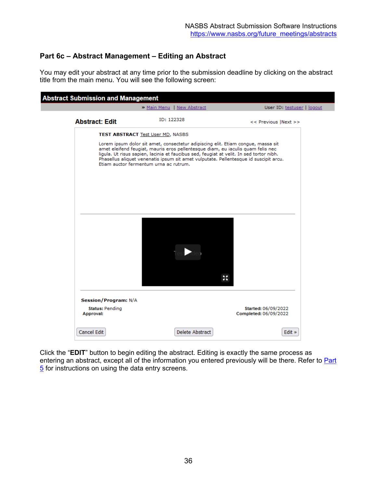# <span id="page-35-0"></span>**Part 6c – Abstract Management – Editing an Abstract**

You may edit your abstract at any time prior to the submission deadline by clicking on the abstract title from the main menu. You will see the following screen:

|                                     | » Main Menu   New Abstract                                                                                                                                                                                                                                                                                                                                                                       | User ID: testuser   logout                   |
|-------------------------------------|--------------------------------------------------------------------------------------------------------------------------------------------------------------------------------------------------------------------------------------------------------------------------------------------------------------------------------------------------------------------------------------------------|----------------------------------------------|
| <b>Abstract: Edit</b>               | ID: 122328                                                                                                                                                                                                                                                                                                                                                                                       | << Previous  Next >>                         |
|                                     | <b>TEST ABSTRACT Test User MD, NASBS</b>                                                                                                                                                                                                                                                                                                                                                         |                                              |
|                                     | Lorem ipsum dolor sit amet, consectetur adipiscing elit. Etiam congue, massa sit<br>amet eleifend feugiat, mauris eros pellentesque diam, eu iaculis quam felis nec<br>ligula. Ut risus sapien, lacinia et faucibus sed, feugiat at velit. In sed tortor nibh.<br>Phasellus aliquet venenatis ipsum sit amet vulputate. Pellentesque id suscipit arcu.<br>Etiam auctor fermentum urna ac rutrum. |                                              |
|                                     |                                                                                                                                                                                                                                                                                                                                                                                                  |                                              |
|                                     |                                                                                                                                                                                                                                                                                                                                                                                                  | 蒜                                            |
| <b>Session/Program: N/A</b>         |                                                                                                                                                                                                                                                                                                                                                                                                  |                                              |
| <b>Status: Pending</b><br>Approval: |                                                                                                                                                                                                                                                                                                                                                                                                  | Started: 06/09/2022<br>Completed: 06/09/2022 |
|                                     |                                                                                                                                                                                                                                                                                                                                                                                                  |                                              |

Click the "**EDIT**" button to begin editing the abstract. Editing is exactly the same process as entering an abstract, except all of the information you entered previously will be there. Refer to Part [5](#page-9-0) for instructions on using the data entry screens.